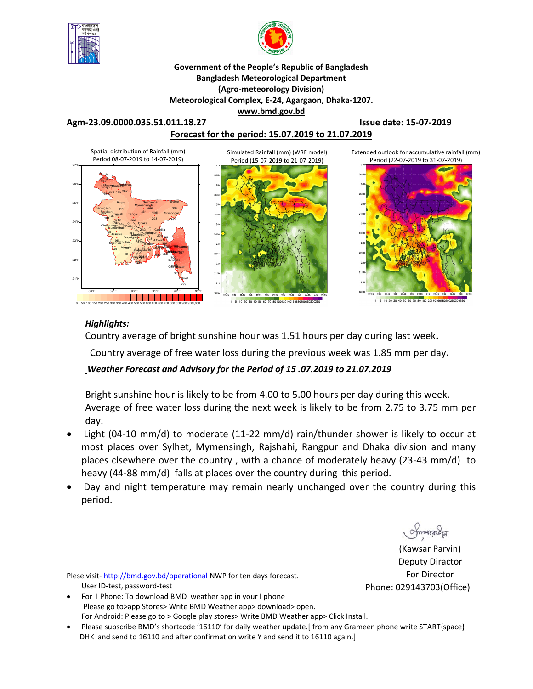



#### **Government of the People's Republic of Bangladesh Bangladesh Meteorological Department (Agro-meteorology Division) Meteorological Complex, E-24, Agargaon, Dhaka-1207. www.bmd.gov.bd**

**Agm-23.09.0000.035.51.011.18.27 Issue date: 15-07-2019**





### *Highlights:*

Country average of bright sunshine hour was 1.51 hours per day during last week**.**

Country average of free water loss during the previous week was 1.85 mm per day**.** 

## *Weather Forecast and Advisory for the Period of 15 .07.2019 to 21.07.2019*

Bright sunshine hour is likely to be from 4.00 to 5.00 hours per day during this week. Average of free water loss during the next week is likely to be from 2.75 to 3.75 mm per day.

- Light (04-10 mm/d) to moderate (11-22 mm/d) rain/thunder shower is likely to occur at most places over Sylhet, Mymensingh, Rajshahi, Rangpur and Dhaka division and many places clsewhere over the country , with a chance of moderately heavy (23-43 mm/d) to heavy (44-88 mm/d) falls at places over the country during this period.
- Day and night temperature may remain nearly unchanged over the country during this period.

(Kawsar Parvin) Deputy Diractor For Director Phone: 029143703(Office)

Plese visit- http://bmd.gov.bd/operational NWP for ten days forecast. User ID-test, password-test

- For I Phone: To download BMD weather app in your I phone Please go to>app Stores> Write BMD Weather app> download> open. For Android: Please go to > Google play stores> Write BMD Weather app> Click Install.
- Please subscribe BMD's shortcode '16110' for daily weather update.[ from any Grameen phone write START{space} DHK and send to 16110 and after confirmation write Y and send it to 16110 again.]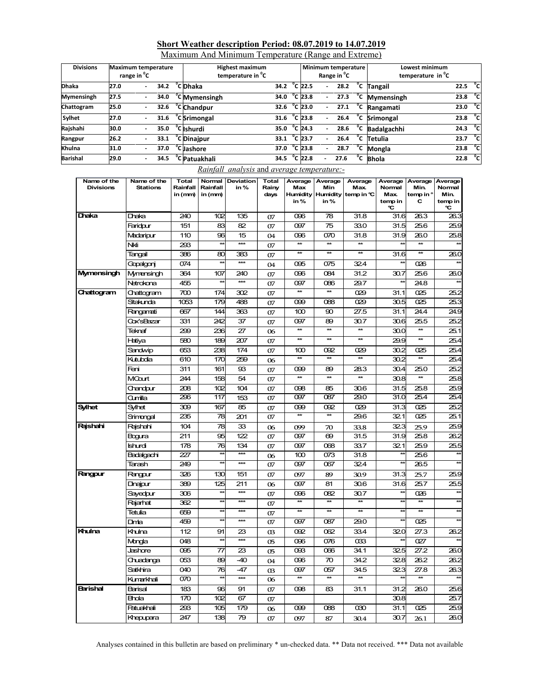| Short Weather description Period: 08.07.2019 to 14.07.2019 |  |
|------------------------------------------------------------|--|
| Maximum And Minimum Temperature (Range and Extreme)        |  |

| <b>Divisions</b>  | <b>Maximum temperature</b><br>range in <sup>o</sup> C |                          | <b>Highest maximum</b><br>temperature in <sup>o</sup> C |  |                                |      |  | Minimum temperature<br>Range in <sup>"</sup> C |   | Lowest minimum<br>temperature in <sup>o</sup> C |    |                           |                                  |  |
|-------------------|-------------------------------------------------------|--------------------------|---------------------------------------------------------|--|--------------------------------|------|--|------------------------------------------------|---|-------------------------------------------------|----|---------------------------|----------------------------------|--|
| <b>Dhaka</b>      | 27.0                                                  | $\overline{\phantom{0}}$ | 34.2                                                    |  | <sup>°</sup> C Dhaka           | 34.2 |  | $^{\circ}$ C 22.5                              | ٠ | 28.2                                            |    | <sup>o</sup> C Tangail    | 22.5 $\degree$ C                 |  |
| <b>Mymensingh</b> | 27.5                                                  |                          | 34.0                                                    |  | <sup>o</sup> C Mymensingh      | 34.0 |  | $^{\circ}$ C 23.8                              |   | 27.3                                            |    | $\overline{C}$ Mymensingh | 23.8 $^{\circ}$ C                |  |
| Chattogram        | 25.0                                                  |                          | 32.6                                                    |  | <sup>o</sup> C Chandpur        | 32.6 |  | °C 23.0                                        |   | 27.1                                            | °c | Rangamati                 | $23.0\degree$ C                  |  |
| Sylhet            | 27.0                                                  |                          | 31.6                                                    |  | $\sqrt[\text{C}]{c}$ Srimongal | 31.6 |  | $^{\circ}$ C 23.8                              |   | 26.4                                            |    | <sup>o</sup> C Srimongal  | 23.8 $^{\circ}$ C                |  |
| Rajshahi          | 30.0                                                  |                          | 35.0                                                    |  | <sup>o</sup> C Ishurdi         | 35.0 |  | $^{\circ}$ C 24.3                              |   | 28.6                                            | °c | Badalgachhi               | $\overline{24.3}$ <sup>o</sup> C |  |
| Rangpur           | 26.2                                                  |                          | 33.1                                                    |  | <sup>o</sup> C Dinajpur        | 33.1 |  | $^{\circ}$ C 23.7                              |   | 26.4                                            | °c | Tetulia                   | 23.7 °C                          |  |
| Khulna            | 31.0                                                  |                          | 37.0                                                    |  | <sup>o</sup> C Jashore         | 37.0 |  | $^{\circ}$ C 23.8                              |   | 28.7                                            | °c | Mongla                    | $\overline{23.8}$ <sup>o</sup> C |  |
| <b>Barishal</b>   | 29.0                                                  |                          | 34.5                                                    |  | <sup>o</sup> C Patuakhali      | 34.5 |  | $^{\circ}$ C 22.8                              |   | 27.6                                            | °c | <b>Bhola</b>              | $22.8\degree$ C                  |  |

*Rainfall analysis* and *average temperature:-*

| Name of the<br><b>Divisions</b> | Name of the<br><b>Stations</b> | <b>Total</b><br>Rainfall<br>in (mm) | Rainfall<br>in (mm) | Normal Deviation<br>in% | <b>Total</b><br>Rainy<br>days | Average<br>Max<br>in% | Average<br>Min<br><b>Humidity Humidity</b><br>in% | Average<br>Max.<br>temp in ℃ | Average<br>Normal<br>Max.<br>temp in<br>℃ | Average<br>Min.<br>temp in °<br>C | Average<br>Normal<br>Min.<br>temp in<br>°C |
|---------------------------------|--------------------------------|-------------------------------------|---------------------|-------------------------|-------------------------------|-----------------------|---------------------------------------------------|------------------------------|-------------------------------------------|-----------------------------------|--------------------------------------------|
| Dhaka                           | Draka                          | 240                                 | 102                 | 135                     | 07                            | 096                   | 78                                                | 31.8                         | 31.6                                      | 26.3                              | 26.3                                       |
|                                 | Faridpur                       | 151                                 | 83                  | 82                      | 07                            | 097                   | 75                                                | 33.0                         | 31.5                                      | 25.6                              | 25.9                                       |
|                                 | Madaripur                      | 110                                 | 96                  | 15                      | 04                            | 096                   | 070                                               | 31.8                         | 31.9                                      | 26.0                              | 25.8                                       |
|                                 | Nki                            | 293                                 | $\star\star$        | $***$                   | 07                            | $\overline{\ast}$     | $\star\star$                                      | $\star\star$                 | $\star$                                   | **                                |                                            |
|                                 | Tangail                        | 386                                 | 80                  | 383                     | 07                            | **                    | **                                                | $\star\star$                 | 31.6                                      | $\star\star$                      | 26.0                                       |
|                                 | Gopalgonj                      | 074                                 | ¥                   | $***$                   | 04                            | 095                   | 075                                               | 324                          |                                           | 026                               | $\star$                                    |
| Mymensingh                      | Mymensingh                     | 364                                 | 107                 | 240                     | 07                            | 096                   | 084                                               | 31.2                         | 30.7                                      | 25.6                              | 26.0                                       |
|                                 | Netrokona                      | 455                                 | $\star$             | $***$                   | 07                            | 097                   | 086                                               | 29.7                         |                                           | 24.8                              |                                            |
| Chattogram                      | Chattogram                     | 700                                 | 174                 | 302                     | 07                            | $\star$               | $\star\star$                                      | 029                          | 31.1                                      | 025                               | 25.2                                       |
|                                 | Sitakunda                      | 1053                                | 179                 | 488                     | 07                            | 099                   | 088                                               | 029                          | 30.5                                      | 025                               | 25.3                                       |
|                                 | Rangamati                      | 667                                 | 144                 | 363                     | 07                            | 100                   | 90                                                | 27.5                         | 31.1                                      | 24.4                              | 24.9                                       |
|                                 | Cox'sBazar                     | 331                                 | 242                 | 37                      | 07                            | 097                   | 89                                                | 30.7                         | 30.6                                      | 25.5                              | 25.2                                       |
|                                 | Teknaf                         | 299                                 | 236                 | 27                      | 06                            | <b>**</b>             | $*$                                               | $**$                         | 30.0                                      | $\star\star$                      | 25.1                                       |
|                                 | Hatiya                         | 580                                 | 189                 | 207                     | 07                            | $\star\star$          | **                                                | $\star\star$                 | 29.9                                      | **                                | 25.4                                       |
|                                 | Sandwip                        | 653                                 | 238                 | 174                     | 07                            | 100                   | 092                                               | 029                          | 30.2                                      | 025                               | 25.4                                       |
|                                 | Kutubdia                       | 610                                 | 170                 | 259                     | 06                            | 枺                     | $\star\star$                                      | 枺                            | 30.2                                      | $\star\star$                      | 25.4                                       |
|                                 | Feni                           | 311                                 | 161                 | 93                      | 07                            | 099                   | 89                                                | 28.3                         | 30.4                                      | 25.0                              | 25.2                                       |
|                                 | MCourt                         | 244                                 | 158                 | 54                      | 07                            | $\overline{\ast}$     | $\star\star$                                      | $\star\star$                 | 30.8                                      | $\star$                           | 25.8                                       |
|                                 | Chandpur                       | 208                                 | 102                 | 104                     | 07                            | 098                   | 85                                                | 30.6                         | 31.5                                      | 25.8                              | 25.9                                       |
|                                 | Cumilla                        | 296                                 | 117                 | 153                     | 07                            | 097                   | 087                                               | 29.0                         | 31.0                                      | 25.4                              | 25.4                                       |
| <b>Sylhet</b>                   | Sylhet                         | 309                                 | 167                 | 85                      | 07                            | 099                   | 092                                               | 029                          | 31.3                                      | 025                               | 25.2                                       |
|                                 | Srimongal                      | 235                                 | 78                  | 201                     | 07                            | ¥                     | ¥                                                 | 29.6                         | 321                                       | $\overline{025}$                  | 25.1                                       |
| <b>Rajshahi</b>                 | Rajshahi                       | 104                                 | 78                  | 33                      | 06                            | 099                   | 70                                                | 33.8                         | 323                                       | 25.9                              | 25.9                                       |
|                                 | Bogura                         | 211                                 | 95                  | 122                     | 07                            | 097                   | 69                                                | 31.5                         | 31.9                                      | 25.8                              | 26.2                                       |
|                                 | Ishurdi                        | 178                                 | 76                  | 134                     | 07                            | 097                   | 068                                               | 33.7                         | 321                                       | 25.9                              | 25.5                                       |
|                                 | Badalgachi                     | 227                                 | $\star\star$        | $***$                   | 06                            | 100                   | 073                                               | 31.8                         | $\star\star$                              | 25.6                              | $\overline{\mathbf{r}}$                    |
|                                 | Tarash                         | 249                                 | $*$                 | $***$                   | 07                            | 097                   | 067                                               | 32.4                         | $\star\star$                              | 26.5                              |                                            |
| <b>Rangpur</b>                  | Rangpur                        | 326                                 | 130                 | 151                     | 07                            | 097                   | 89                                                | 30.9                         | 31.3                                      | 25.7                              | 25.9                                       |
|                                 | Dinajpur                       | 389                                 | 125                 | 211                     | 06                            | 097                   | 81                                                | 30.6                         | 31.6                                      | 25.7                              | 25.5                                       |
|                                 | Sayedpur                       | 306                                 | $\star\star$        | $***$                   | 07                            | 096                   | 082                                               | 30.7                         | $\star$                                   | 026                               | $\left( \frac{1}{2} \right)$               |
|                                 | Rajarhat                       | 362                                 | $\star\star$        | ***                     | 07                            | **                    | **                                                | $\star\star$                 | $\star\star$                              | **                                | $\star\star$                               |
|                                 | Tetulia                        | 659                                 | $\star\star$        | ***                     | 07                            | **                    | $\star\star$                                      | $\star\star$                 | $\star$                                   | $\star\star$                      | $\star$                                    |
|                                 | Dinta                          | 459                                 | $**$                | $***$                   | 07                            | 097                   | 087                                               | 29.0                         | $\star\star$                              | 025                               |                                            |
| Khulna                          | Khulna                         | 112                                 | 91                  | 23                      | 03                            | 092                   | 062                                               | 33.4                         | 320                                       | 27.3                              | 26.2                                       |
|                                 | Monda                          | 048                                 | $\star\star$        | $***$                   | 05                            | 096                   | 076                                               | $\alpha$ 33                  | **                                        | 027                               |                                            |
|                                 | Jashore                        | 095                                 | 77                  | 23                      | 05                            | 093                   | 066                                               | 34.1                         | 325                                       | 27.2                              | 26.0                                       |
|                                 | Chuadanga                      | 053                                 | 89                  | $-40$                   | 04                            | 096                   | 70                                                | 34.2                         | 328                                       | 26.2                              | 26.2                                       |
|                                 | Satkhira                       | 040                                 | 76                  | $-47$                   | 03                            | 097                   | 057                                               | 34.5                         | 323                                       | 27.8                              | 26.3                                       |
|                                 | Kumarkhali                     | $\overline{070}$                    |                     | ***                     | 06                            |                       | $\overline{\ast}$                                 |                              |                                           |                                   |                                            |
| <b>Barishal</b>                 | <b>Barisal</b>                 | 183                                 | 96                  | 91                      | 07                            | 098                   | 83                                                | 31.1                         | 31.2                                      | 26.0                              | 25.6                                       |
|                                 | <b>Bhola</b>                   | 170                                 | 102                 | 67                      | 07                            |                       |                                                   |                              | 30.8                                      |                                   | 25.7                                       |
|                                 | <b>Patuakhali</b>              | 293                                 | 105                 | 179                     | 06                            | 099                   | 088                                               | 030                          | 31.1                                      | 025                               | 25.9                                       |
|                                 | Khepupara                      | 247                                 | 138                 | 79                      | 07                            | 097                   | 87                                                | 30.4                         | 30.7                                      | 26.1                              | 26.0                                       |

Analyses contained in this bulletin are based on preliminary \* un-checked data. \*\* Data not received. \*\*\* Data not available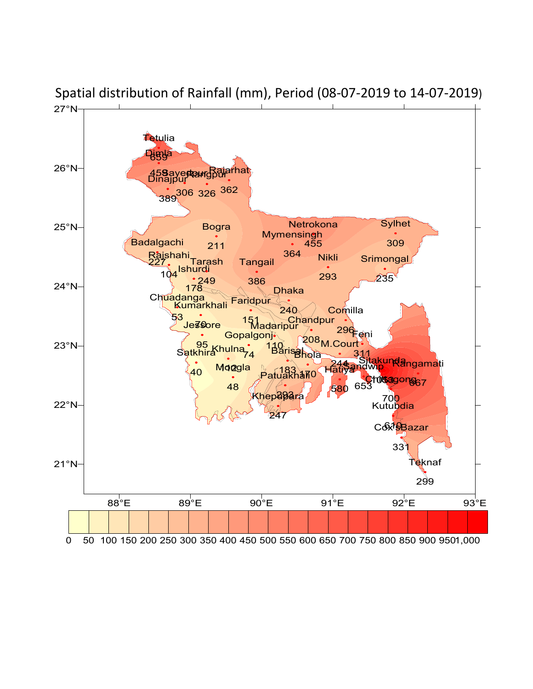

Spatial distribution of Rainfall (mm), Period (08-07-2019 to 14-07-2019)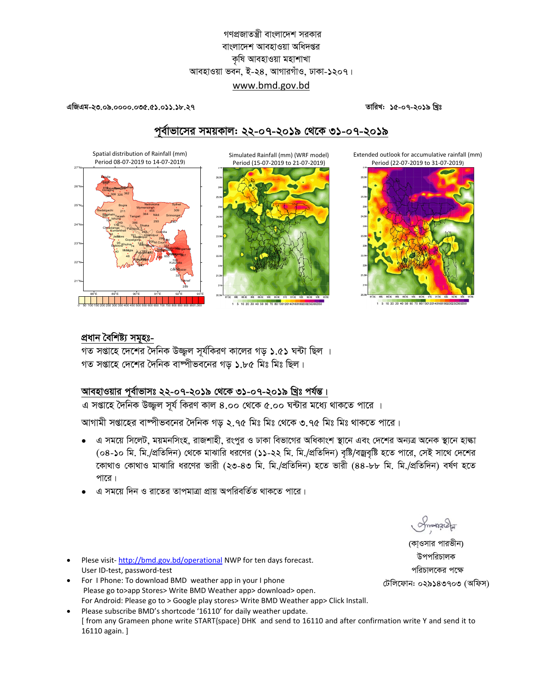## গণপ্রজাতন্ত্রী বাংলাদেশ সরকার বাংলাদেশ আবহাওয়া অধিদপ্তর কৃষি আবহাওয়া মহাশাখা আবহাওয়া ভবন, ই-২৪, আগারগাঁও, ঢাকা-১২০৭। www.bmd.gov.bd

এজিএম-২৩.০৯.০০০০.০৩৫.৫১.০১১.১৮.২৭

Spatial distribution of Rainfall (mm)

.<br>Period 08-07-2019 to 14-07-2019)

তারিখ: ১৫-০৭-২০১৯ খিঃ

# পর্বাভাসের সময়কাল: ২২-০৭-২০১৯ থেকে ৩১-০৭-২০১৯

Simulated Rainfall (mm) (WRF model) Period (15-07-2019 to 21-07-2019)

i,5€ 91E 91,5E 92E 92,5E

1 5 10 20 30 40 50 60 70 80 10012014016018020

Extended outlook for accumulative rainfall (mm) Period (22-07-2019 to 31-07-2019)



1 5 10 20 30 40 50 60 70 80 100120140160180200

### প্ৰধান বৈশিষ্ট্য সমূহঃ-

 $25^\circ$ 

 $23'$ 

 $22^{\circ}$ 

 $21^{\circ}$ 

গত সপ্তাহে দেশের দৈনিক উজ্জল সর্যকিরণ কালের গড় ১.৫১ ঘন্টা ছিল । গত সপ্তাহে দেশের দৈনিক বাষ্পীভবনের গড় ১.৮৫ মিঃ মিঃ ছিল।

## আবহাওয়ার পূর্বাভাসঃ ২২-০৭-২০১৯ থেকে ৩১-০৭-২০১৯ খ্রিঃ পর্যন্ত।

এ সপ্তাহে দৈনিক উজ্জল সূর্য কিরণ কাল ৪.০০ থেকে ৫.০০ ঘন্টার মধ্যে থাকতে পারে ।

আগামী সপ্তাহের বাম্পীভবনের দৈনিক গড় ২.৭৫ মিঃ মিঃ থেকে ৩.৭৫ মিঃ মিঃ থাকতে পারে।

- এ সময়ে সিলেট, ময়মনসিংহ, রাজশাহী, রংপুর ও ঢাকা বিভাগের অধিকাংশ স্থানে এবং দেশের অন্যত্র অনেক স্থানে হাঙ্কা (০৪-১০ মি. মি./প্রতিদিন) থেকে মাঝারি ধরণের (১১-২২ মি. মি./প্রতিদিন) বৃষ্টি/বজ্রবৃষ্টি হতে পারে, সেই সাথে দেশের কোথাও কোথাও মাঝারি ধরণের ভারী (২৩-৪৩ মি. মি./প্রতিদিন) হতে ভারী (৪৪-৮৮ মি. মি./প্রতিদিন) বর্ষণ হতে পারে।
- এ সময়ে দিন ও রাতের তাপমাত্রা প্রায় অপরিবর্তিত থাকতে পারে।

Plese visit-http://bmd.gov.bd/operational NWP for ten days forecast. User ID-test, password-test

- For I Phone: To download BMD weather app in your I phone Please go to>app Stores> Write BMD Weather app> download> open. For Android: Please go to > Google play stores> Write BMD Weather app> Click Install.
- Please subscribe BMD's shortcode '16110' for daily weather update. [ from any Grameen phone write START{space} DHK and send to 16110 and after confirmation write Y and send it to 16110 again. ]

(কাওসার পারভীন) উপপরিচালক পরিচালকের পক্ষে টেলিফোন: ০২৯১৪৩৭০৩ (অফিস)

ofmonacla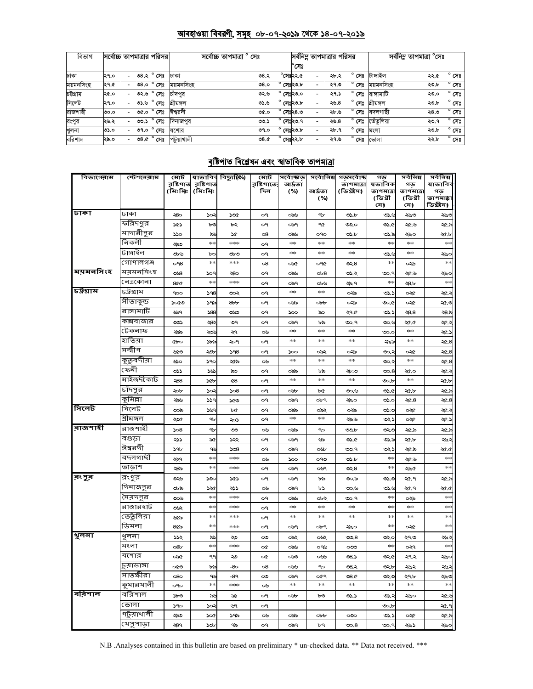#### <u> আবহাওয়া বিবরণী, সমূহ ০৮-০৭-২০১৯ থেকে ১৪-০৭-২০১৯</u>

| বিভাগ     | সর্বোচ্চ তাপমাত্রার পরিসর |                          |      |                | সৰ্বোচ্চ তাপমাত্ৰা<br>সেঃ |  |      |                    |                    | সর্বনিম্ন তাপমাত্রার পরিসর |                   | সৰ্বনিম্ন তাপমাত্ৰা °সেঃ |      |                |
|-----------|---------------------------|--------------------------|------|----------------|---------------------------|--|------|--------------------|--------------------|----------------------------|-------------------|--------------------------|------|----------------|
|           |                           |                          |      |                |                           |  |      |                    | ৺সেঃ               |                            |                   |                          |      |                |
| ঢাকা      | ২৭.০                      |                          |      | ৩৪.২ ° সেঃ     | ঢাকা                      |  | ৩৪.২ |                    | $^\circ$ সেঃ২২.৫   | ২৮.২                       | $^{\circ}$ সেঃ    | টাঙ্গাইল                 | ২২.৫ | $^{\circ}$ সেঃ |
| ময়মনসিংহ | ২৭.৫                      |                          | 0.8c | $^{\circ}$ সেঃ | ময়মনসিংহ                 |  | 08.0 |                    | সেঃ২৩.৮            | ২৭.৩                       | ۰<br>সেঃ          | ময়মনসিংহ                | ২৩.৮ | $^{\circ}$ সেঃ |
| চউগ্ৰাম   | ২৫.০                      |                          | ৩২.৬ | $^{\circ}$ সেঃ | চাদপর                     |  | ৩২.৬ | $^{\circ}$ সেঃ২৩.০ |                    | ২৭.১                       | $^{\circ}$ সেঃ    | রাসামাটি                 | ২৩.০ | $^{\circ}$ সেঃ |
| সিলেট     | ২৭.০                      |                          | ৩১.৬ | $^{\circ}$ সেঃ | শ্ৰীমঙ্গল                 |  | ৩১.৬ |                    | $^{\circ}$ সেঃ২৩.৮ | ২৬.৪                       | $^{\circ}$ সেঃ    | শ্ৰীমঙ্গল                | ২৩.৮ | $^{\circ}$ সেঃ |
| রাজশাহী   | ೦೦.೦                      |                          | ৩৫.০ | $^{\circ}$ সেঃ | ঈশ্বরদী                   |  | ৩৫.০ | $^{\circ}$         | সেঃ২৪.৩            | ২৮.৬                       | $^{\circ}$ সেঃ    | বদলগাছী                  | 28.0 | $^{\circ}$ সেঃ |
| রংপুর     | ২৬.২                      |                          | ৩৩.১ | $^{\circ}$ সেঃ | দিনাজপুর                  |  | ৩৩.১ | $^{\circ}$ সেঃ২৩.৭ |                    | ২৬.৪                       | $^{\circ}$<br>সেঃ | ভেঁতলিয়া                | ২৩.৭ | $^{\circ}$ সেঃ |
| খুলনা     | ৩১.০                      |                          | ৩৭.০ | $^{\circ}$ সেঃ | যশোর                      |  | 09.0 |                    | সেঃ২৩.৮            | ২৮.৭                       | ۰<br>সেঃ          | মংলা                     | ২৩.৮ | $^{\circ}$ সেঃ |
| বরিশাল    | ২৯.০                      | $\overline{\phantom{0}}$ |      | ৩৪.৫ ° সেঃ     | পটয়াখালী                 |  | 98.C | $^{\circ}$ সেঃ২২.৮ |                    | ২৭.৬                       | $^{\circ}$ সেঃ    | ভোলা                     | ২২.৮ | $^{\circ}$ সেঃ |

## <u>বৃষ্টিপাত বিশ্লেষন এবং স্বাভাবিক তাপমাত্রা</u>

| বিভাগেৰাম | স্টেশ <b>লে</b> ৰাম | মোট             |               | স্বাভাবিৰ বিছ্যুষ্ঠি⁄) | মোট                                 | সৰ্বোচ্চাড়   | সৰ্বোনিম্ন      | গড়সৰ্বোষ্ক   | গড                   | সৰ্বনিম্ন           | সৰ্বনিম্ন      |
|-----------|---------------------|-----------------|---------------|------------------------|-------------------------------------|---------------|-----------------|---------------|----------------------|---------------------|----------------|
|           |                     | রষ্টিপাত        | রূষ্টিপাত     |                        | <b>র্</b> ষ্টি <b>শাতে</b> :<br>দিন | আৰ্দ্ৰতা      |                 |               | তাপমাত্ৰা ম্বভাবিক   | গড                  | ষাভাবিব        |
|           |                     | (মিঃমিঃ         | (মিঃমিঃ       |                        |                                     | (%)           | আৰ্দ্ৰতা<br>(%) | (ডিগ্রীস)     | তাপমাত্রা<br>(ডিগ্ৰী | তাপমাত্র<br>(ডিগ্ৰী | গড<br>তাপমাচ্য |
|           |                     |                 |               |                        |                                     |               |                 |               | সে)                  | সে)                 | ডিগ্ৰীস)       |
| ঢাকা      | ঢাকা                | -80             | 502           | soc                    | o٩                                  | ಂನು           | 9 <sub>b</sub>  | 05.5          | ي دن                 | ২৬৩                 | ২৬৩            |
|           | করিদপুর             | ১৫১             | ৮৩            | ৮২                     | o٩                                  | ಂಎ੧           | ዓ৫              | ৩೨.೦          | ৩১.৫                 | ২৫.৬                | ২৫.৯           |
|           | মাদারীপুর           | ১১০             | ನ್ನು          | sa                     | $\circ$ 8                           | ಂನು           | OPO             | ৩১.৮          | ৩১.৯                 | ২৬০                 | ২৫.৮           |
|           | নিকলী               | ುನಿ             | $*$           | ***                    | o٩                                  | $\frac{1}{2}$ | $\frac{1}{2}$   | $\frac{1}{2}$ | $+ +$                | $\frac{1}{2}$       | $+ \times$     |
|           | টাঙ্গাইল            | ৩৮৬             | bc            | ৩৮৩                    | o٩                                  | $\frac{1}{2}$ | $\frac{1}{2}$   | $\frac{1}{2}$ | ی دی                 | $\frac{1}{2}$       | ২৬০            |
|           | গোপালগঞ্জ           | O <sub>98</sub> | ojeci         | stesteste              | 08                                  | ০৯৫           | O9Q             | ৩২৪           | $*$                  | ০২৬                 | $\frac{1}{2}$  |
| ময়মনসিংহ | ময়মনসিংহ           | OB              | ১০৭           | ২৪০                    | о۹                                  | ಂನು           | ob8             | ৩১.২          | ৩০.৭                 | ২৫.৬                | ২৬০            |
|           | নেত্ৰকোনা           | 800             | $\frac{1}{2}$ | sjesjesje              | o٩                                  | ಂಎ੧           | ০৮৬             | ২৯.৭          | $*$                  | ২৪.৮                | $\frac{1}{2}$  |
| টক্রিয়াম | <u>চউ</u> গ্রাম     | 900             | 598           | ৩০২                    | o٩                                  | $\frac{1}{2}$ | $\frac{1}{2}$   | ০২৯           | ৩১.১                 | ০২৫                 | ২৫.২           |
|           | সীতাকুন্ড           | ১০৫৩            | ১৭৯           | 8 <sub>ob</sub>        | o٩                                  | ంస్థ          | $_{\rm{obb}}$   | ০২৯           | ৩০.৫                 | ০২৫                 | ২৫.৩           |
|           | রাঙ্গামাটি          | ৬৬৭             | 588           | ುು                     | o٩                                  | 500           | ಹ               | ২৭৫           | ৩১.১                 | 58.8                | ২৪.৯           |
|           | কক্সবাজার           | ಲು              | -83           | ৩৭                     | о۹                                  | ಂಎ੧           | ৮৯              | ৩০.৭          | ৩০.৬                 | ২৫.৫                | ২৫.২           |
|           | টেকনাফ              | ২৯৯             | ২೨೬           | ২৭                     | ০৬                                  | $\frac{1}{2}$ | abc c           | $\frac{1}{2}$ | ৩೦.೦                 | $\frac{1}{2}$       | ২৫.১           |
|           | হাতিয়া             | Cbo             | ১৮৯           | ২০৭                    | o٩                                  | $\frac{1}{2}$ | $\frac{1}{2}$   | $\frac{1}{2}$ | ২৯৯                  | $\frac{1}{2}$       | $\propto 8$    |
|           | সন্দ্বীপ            | ৬৫৩             | ২৩১           | 598                    | о۹                                  | 500           | ০৯২             | ০২৯           | ು.                   | ০২৫                 | ২৫.৪           |
|           | কুতুবদীয়া          | టం              | 590           | ২৫৯                    | ০৬                                  | abc c         | ojenje          | $2\pi$        | ು.                   | $*$                 | $\propto 8$    |
|           | ফেনী                | ৩১১             | نتلا          | ನಿ೦                    | ०१                                  | ంపు           | ৮৯              | ২৮.৩          | లం.8                 | ২৫.০                | ২৫.২           |
|           | মাইজদীকাৰ্ট         | ২88             | <b>SGb</b>    | 48                     | o٩                                  | $\frac{1}{2}$ | $\frac{1}{2}$   | $\frac{1}{2}$ | $\infty$             | $\pm 1$             | ২৫.৮           |
|           | চাঁদপুর             | ২০৮             | č,            | 508                    | o٩                                  | ಂನು           | ৮৫              | ৩০.৬          | ৩১.৫                 | ২৫.৮                | ২৫.৯           |
|           | কুমিল্লা            | ২৯৬             | ∍دد           | ১৫৩                    | o٩                                  | ಂಎ੧           | ০৮৭             | ২৯.০          | ৩১.০                 | $\propto$ 8         | $\propto 8$    |
| সিলেট     | সিলেট               | ಲಂ              | ১৬৭           | ৮৫                     | о۹                                  | ೦ನಾ           | ০৯২             | ০২৯           | ৩১.৩                 | ০২৫                 | ২৫.২           |
|           | শ্ৰীমঙ্গল           | ২০৫             | 9b            | ২০১                    | o٩                                  | $*$           | rich            | ২৯৬           | دجی                  | ০২৫                 | ২৫.১           |
| ৰাজশাহী   | রাজশাহী             | 508             | 9b            | ಀಀ                     | ০৬                                  | ంపు           | 90              | ಲಾರ್          | ಲು                   | ২৫.৯                | ২৫.৯           |
|           | বগুডা               | ২১১             | ৯৫            | جڊد                    | o٩                                  | ಂಎ੧           | ৬৯              | ৩১.৫          | ৩১.৯                 | ২৫.৮                | ২৬২            |
|           | ঈশ্বরদী             | ১৭৮             | ٩Ŀ            | 508                    | o٩                                  | ಂಎ੧           | oУb             | ৩৩.৭          | دجی                  | ২৫.৯                | <b>20.0</b>    |
|           | বদলগাছী             | ২২৭             | $\star$       | ***                    | ০৬                                  | 500           | ೧۹೮             | ৩১.৮          | $+$                  | ২৫.৬                | $\frac{1}{2}$  |
|           | তাডাশ               | ২৪৯             | $\star$       | ***                    | ο٩                                  | ಂಎ੧           | oYA             | ৩২.৪          | $+$                  | ২৬৫                 | $\frac{1}{2}$  |
| রংপুর     | রংপুর               | ৩২৬             | ১৩০           | ১৫১                    | o٩                                  | ಂಎ੧           | ৮৯              | ৩০.৯          | ৩১.৩                 | ২৫.৭                | ২৫.৯           |
|           | দিনাজপুর            | ৩৮৯             | ১২৫           | ২১১                    | ০৬                                  | ಂಎ੧           | ৮১              | ৩০.৬          | ی دی                 | ২৫.৭                | <b>20.0</b>    |
|           | সৈয়দপুর            | ৩০৬             | $\star$       | ***                    | ०१                                  | ಂನು           | ০৮২             | ৩০.৭          | $+ +$                | ০২৬                 | $\frac{1}{2}$  |
|           | রাজারহাট            | ৩৬২             | **            | ***                    | o٩                                  | $*$           | abc c           | $\frac{1}{2}$ | $*$                  | abc c               | $\frac{1}{2}$  |
|           | ভেতুলিয়া           | ৬৫৯             | $*$           | ***                    | o٩                                  | $*$           | $\frac{1}{2}$   | $\frac{1}{2}$ | $*$                  | $\frac{1}{2}$       | $\frac{1}{2}$  |
|           | ডিমলা               | $8$ රික         | $+ +$         | ***                    | o٩                                  | ಂಎ੧           | ०৮৭             | ২৯০           | $**$                 | ০২৫                 | $*$            |
| भूलना     | খুলনা               | ১১২             | ৯১            | ২৩                     | $\infty$                            | ০৯২           | ૦ષ્ટ            | 5.8           | ುುಂ                  | ২৭৩                 | ২৬২            |
|           | মংলা                | o8b             | ×             | ricricric              | ∝                                   | ಂನು           | ০৭৬             | ಯಿ            | rich                 | ०२१                 | $\frac{1}{2}$  |
|           | যশোর                | ০৯৫             | 99            | ২৩                     | œ                                   | ಂಎಂ           | ০৬৬             | 08.5          | ৩২৫                  | ২৭২                 | ২৬০            |
|           | চুয়াডাঙ্গা         | ০৫৩             | ৮৯            | -80                    | 08                                  | ಂನು           | 90              | ৩৪.২          | ৩২.৮                 | ২৬২                 | 25             |
|           | সাতক্ষীরা           | 080             | ٩٤            | -89                    | ು                                   | ಂಎ੧           | ०৫৭             | 08.0          | ುು                   | ২৭৮                 | ২৬৩            |
|           | কুমারখালী           | OPO             | $+1$          | ***                    | ০৬                                  | $\pm 1$       | $\pm 1$         | $\pm 1$       | **                   | $\pm 1$             | $+ +$          |
| বরিশাল    | বরিশাল              | ১৮৩             | ৯৬            | ৯১                     | o٩                                  | ಂನು           | ৮৩              | ৩১.১          | లు.-                 | ২৬০                 | 43             |
|           | ভোলা                | 590             | 502           | ৬৭                     | o٩                                  |               |                 |               | $\infty$             |                     | ২৫.৭           |
|           | পটুয়াথালী          | ುನ              | ১০৫           | ১৭৯                    | ০৬                                  | ০৯৯           | $_{\rm{obs}}$   | $\infty$      | ৩১.১                 | ০২৫                 | ২৫.৯           |
|           | খেপুপাড়া           | ২৪৭             | ১৩৮           | ዓ৯                     | o٩                                  | ಂಎ੧           | ৮৭              | $\infty.8$    | ৩০.৭                 | ২৬১                 | ২৬০            |

N.B .Analyses contained in this bulletin are based on preliminary \* un-checked data. \*\* Data not received. \*\*\*